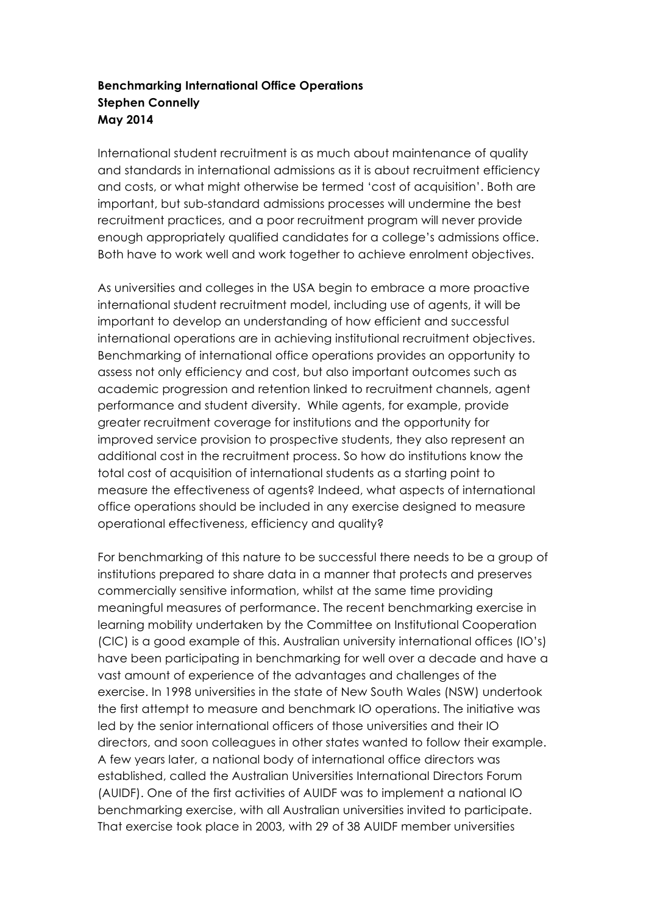## **Benchmarking International Office Operations Stephen Connelly May 2014**

International student recruitment is as much about maintenance of quality and standards in international admissions as it is about recruitment efficiency and costs, or what might otherwise be termed 'cost of acquisition'. Both are important, but sub-standard admissions processes will undermine the best recruitment practices, and a poor recruitment program will never provide enough appropriately qualified candidates for a college's admissions office. Both have to work well and work together to achieve enrolment objectives.

As universities and colleges in the USA begin to embrace a more proactive international student recruitment model, including use of agents, it will be important to develop an understanding of how efficient and successful international operations are in achieving institutional recruitment objectives. Benchmarking of international office operations provides an opportunity to assess not only efficiency and cost, but also important outcomes such as academic progression and retention linked to recruitment channels, agent performance and student diversity. While agents, for example, provide greater recruitment coverage for institutions and the opportunity for improved service provision to prospective students, they also represent an additional cost in the recruitment process. So how do institutions know the total cost of acquisition of international students as a starting point to measure the effectiveness of agents? Indeed, what aspects of international office operations should be included in any exercise designed to measure operational effectiveness, efficiency and quality?

For benchmarking of this nature to be successful there needs to be a group of institutions prepared to share data in a manner that protects and preserves commercially sensitive information, whilst at the same time providing meaningful measures of performance. The recent benchmarking exercise in learning mobility undertaken by the Committee on Institutional Cooperation (CIC) is a good example of this. Australian university international offices (IO's) have been participating in benchmarking for well over a decade and have a vast amount of experience of the advantages and challenges of the exercise. In 1998 universities in the state of New South Wales (NSW) undertook the first attempt to measure and benchmark IO operations. The initiative was led by the senior international officers of those universities and their IO directors, and soon colleagues in other states wanted to follow their example. A few years later, a national body of international office directors was established, called the Australian Universities International Directors Forum (AUIDF). One of the first activities of AUIDF was to implement a national IO benchmarking exercise, with all Australian universities invited to participate. That exercise took place in 2003, with 29 of 38 AUIDF member universities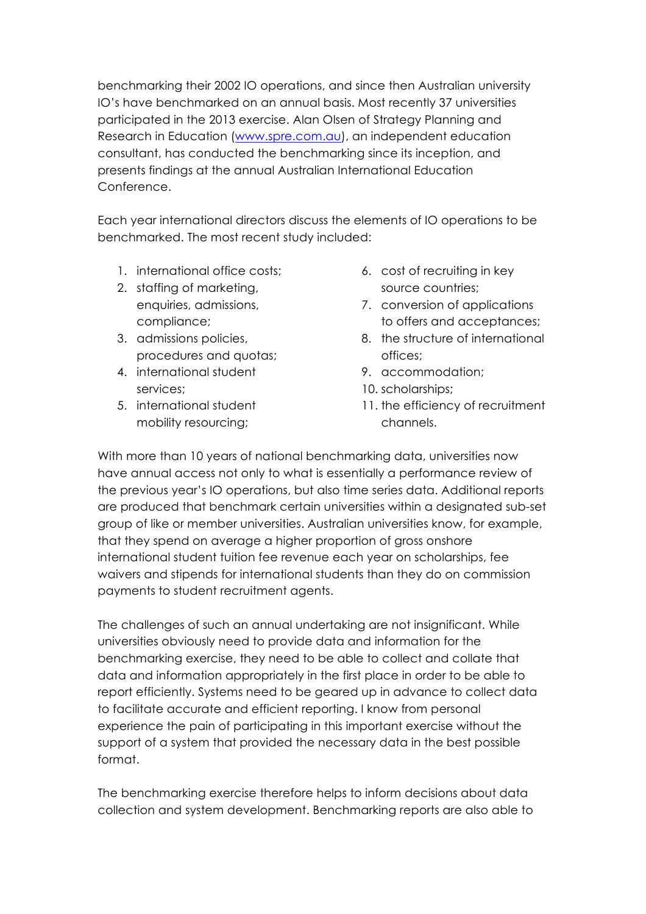benchmarking their 2002 IO operations, and since then Australian university IO's have benchmarked on an annual basis. Most recently 37 universities participated in the 2013 exercise. Alan Olsen of Strategy Planning and Research in Education (www.spre.com.au), an independent education consultant, has conducted the benchmarking since its inception, and presents findings at the annual Australian International Education Conference.

Each year international directors discuss the elements of IO operations to be benchmarked. The most recent study included:

- 1. international office costs;
- 2. staffing of marketing, enquiries, admissions, compliance;
- 3. admissions policies, procedures and quotas;
- 4. international student services;
- 5. international student mobility resourcing;
- 6. cost of recruiting in key source countries;
- 7. conversion of applications to offers and acceptances;
- 8. the structure of international offices;
- 9. accommodation;
- 10. scholarships;
- 11. the efficiency of recruitment channels.

With more than 10 years of national benchmarking data, universities now have annual access not only to what is essentially a performance review of the previous year's IO operations, but also time series data. Additional reports are produced that benchmark certain universities within a designated sub-set group of like or member universities. Australian universities know, for example, that they spend on average a higher proportion of gross onshore international student tuition fee revenue each year on scholarships, fee waivers and stipends for international students than they do on commission payments to student recruitment agents.

The challenges of such an annual undertaking are not insignificant. While universities obviously need to provide data and information for the benchmarking exercise, they need to be able to collect and collate that data and information appropriately in the first place in order to be able to report efficiently. Systems need to be geared up in advance to collect data to facilitate accurate and efficient reporting. I know from personal experience the pain of participating in this important exercise without the support of a system that provided the necessary data in the best possible format.

The benchmarking exercise therefore helps to inform decisions about data collection and system development. Benchmarking reports are also able to